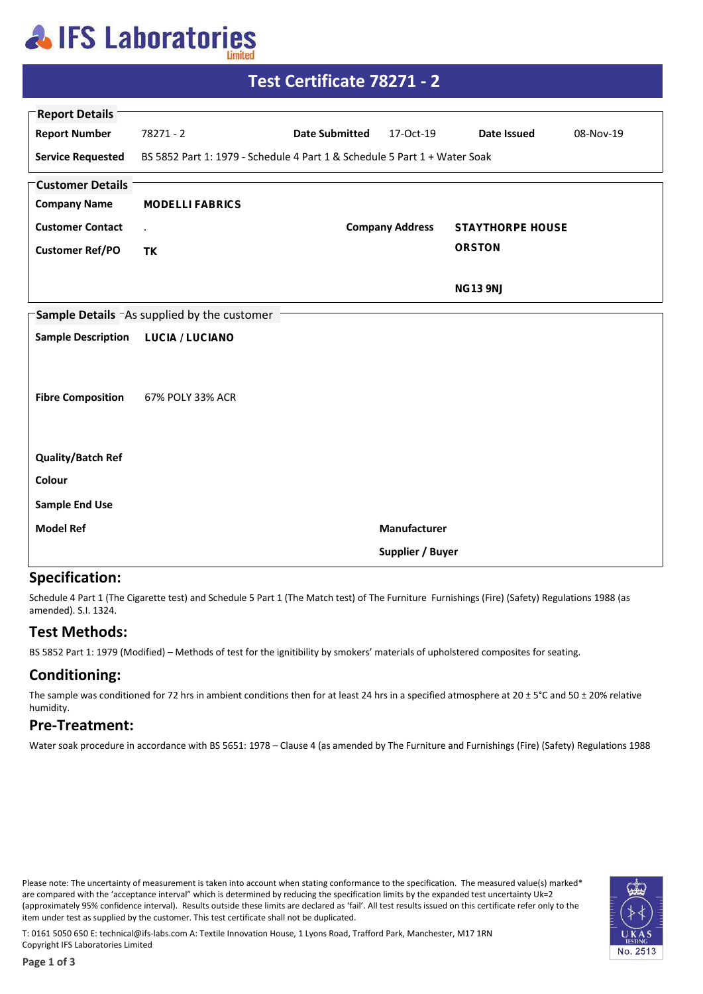## **AIFS Laboratories**

| Test Certificate 78271 - 2                        |                                                                           |                       |                        |                         |           |  |  |  |
|---------------------------------------------------|---------------------------------------------------------------------------|-----------------------|------------------------|-------------------------|-----------|--|--|--|
| <b>Report Details</b>                             |                                                                           |                       |                        |                         |           |  |  |  |
| <b>Report Number</b>                              | $78271 - 2$                                                               | <b>Date Submitted</b> | 17-Oct-19              | Date Issued             | 08-Nov-19 |  |  |  |
| <b>Service Requested</b>                          | BS 5852 Part 1: 1979 - Schedule 4 Part 1 & Schedule 5 Part 1 + Water Soak |                       |                        |                         |           |  |  |  |
| <b>Customer Details</b>                           |                                                                           |                       |                        |                         |           |  |  |  |
| <b>Company Name</b>                               | <b>MODELLI FABRICS</b>                                                    |                       |                        |                         |           |  |  |  |
| <b>Customer Contact</b>                           | $\epsilon$                                                                |                       | <b>Company Address</b> | <b>STAYTHORPE HOUSE</b> |           |  |  |  |
| <b>Customer Ref/PO</b>                            | <b>TK</b>                                                                 |                       |                        | <b>ORSTON</b>           |           |  |  |  |
|                                                   |                                                                           |                       |                        | <b>NG13 9NJ</b>         |           |  |  |  |
| <b>Sample Details</b> As supplied by the customer |                                                                           |                       |                        |                         |           |  |  |  |
| <b>Sample Description</b>                         | <b>LUCIA / LUCIANO</b>                                                    |                       |                        |                         |           |  |  |  |
| <b>Fibre Composition</b>                          | 67% POLY 33% ACR                                                          |                       |                        |                         |           |  |  |  |
| <b>Quality/Batch Ref</b>                          |                                                                           |                       |                        |                         |           |  |  |  |
| Colour                                            |                                                                           |                       |                        |                         |           |  |  |  |
| <b>Sample End Use</b>                             |                                                                           |                       |                        |                         |           |  |  |  |
| <b>Model Ref</b>                                  |                                                                           |                       | Manufacturer           |                         |           |  |  |  |
|                                                   |                                                                           |                       | Supplier / Buyer       |                         |           |  |  |  |

### **Specification:**

Schedule 4 Part 1 (The Cigarette test) and Schedule 5 Part 1 (The Match test) of The Furniture Furnishings (Fire) (Safety) Regulations 1988 (as amended). S.I. 1324.

### **Test Methods:**

BS 5852 Part 1: 1979 (Modified) - Methods of test for the ignitibility by smokers' materials of upholstered composites for seating.

### **Conditioning:**

The sample was conditioned for 72 hrs in ambient conditions then for at least 24 hrs in a specified atmosphere at  $20 \pm 5^{\circ}$ C and 50  $\pm$  20% relative humidity.

#### **Pre-Treatment:**

Water soak procedure in accordance with BS 5651: 1978 - Clause 4 (as amended by The Furniture and Furnishings (Fire) (Safety) Regulations 1988

Please note: The uncertainty of measurement is taken into account when stating conformance to the specification. The measured value(s) marked\* are compared with the 'acceptance interval" which is determined by reducing the specification limits by the expanded test uncertainty Uk=2 (approximately 95% confidence interval). Results outside these limits are declared as 'fail'. All test results issued on this certificate refer only to the item under test as supplied by the customer. This test certificate shall not be duplicated.



T: 0161 5050 650 E: technical@ifs-labs.com A: Textile Innovation House, 1 Lyons Road, Trafford Park, Manchester, M17 1RN Copyright IFS Laboratories Limited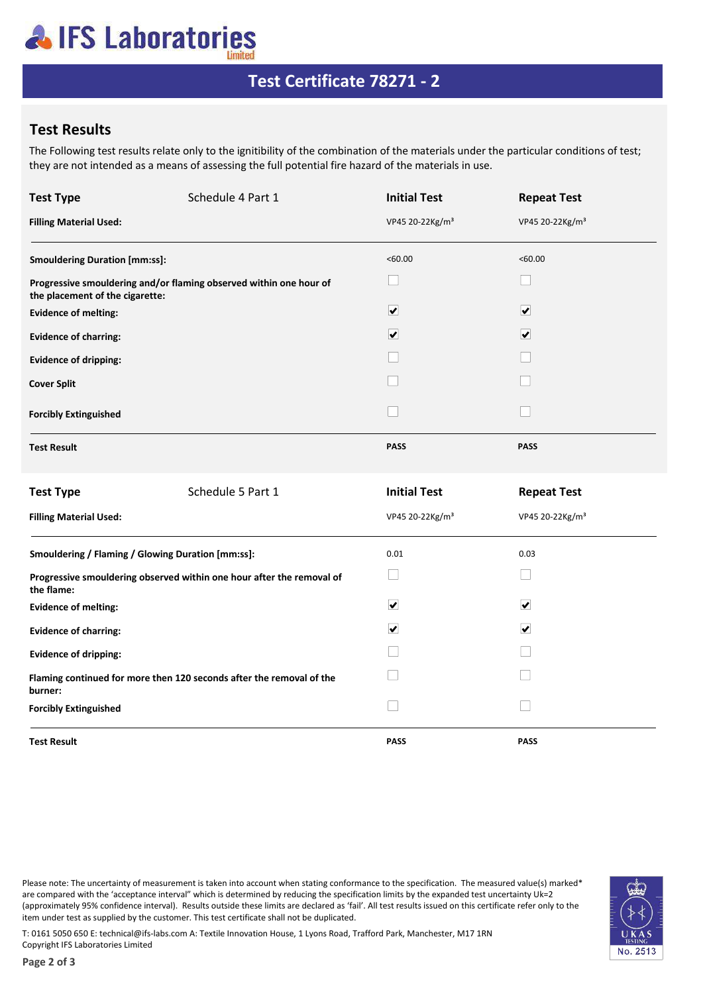# **AIFS Laboratories**

## Test Certificate 78271 - 2

### **Test Results**

The Following test results relate only to the ignitibility of the combination of the materials under the particular conditions of test; they are not intended as a means of assessing the full potential fire hazard of the materials in use.

| <b>Test Type</b>                                                                    | Schedule 4 Part 1                                                  | <b>Initial Test</b>         | <b>Repeat Test</b>          |  |  |
|-------------------------------------------------------------------------------------|--------------------------------------------------------------------|-----------------------------|-----------------------------|--|--|
| <b>Filling Material Used:</b>                                                       |                                                                    | VP45 20-22Kg/m <sup>3</sup> | VP45 20-22Kg/m <sup>3</sup> |  |  |
| <b>Smouldering Duration [mm:ss]:</b>                                                |                                                                    | < 60.00                     | <60.00                      |  |  |
| the placement of the cigarette:                                                     | Progressive smouldering and/or flaming observed within one hour of | $\Box$                      | $\mathcal{L}$               |  |  |
| <b>Evidence of melting:</b>                                                         |                                                                    | $\overline{\mathbf{v}}$     | $\overline{\mathbf{v}}$     |  |  |
| <b>Evidence of charring:</b>                                                        |                                                                    | $\overline{\mathbf{v}}$     | $\overline{\mathbf{v}}$     |  |  |
| <b>Evidence of dripping:</b>                                                        |                                                                    |                             |                             |  |  |
| <b>Cover Split</b>                                                                  |                                                                    |                             |                             |  |  |
| <b>Forcibly Extinguished</b>                                                        |                                                                    |                             |                             |  |  |
| <b>Test Result</b>                                                                  |                                                                    | <b>PASS</b>                 | <b>PASS</b>                 |  |  |
| <b>Test Type</b>                                                                    | Schedule 5 Part 1                                                  | <b>Initial Test</b>         | <b>Repeat Test</b>          |  |  |
| <b>Filling Material Used:</b>                                                       |                                                                    | VP45 20-22Kg/m <sup>3</sup> | VP45 20-22Kg/m <sup>3</sup> |  |  |
| Smouldering / Flaming / Glowing Duration [mm:ss]:                                   |                                                                    | 0.01                        | 0.03                        |  |  |
| Progressive smouldering observed within one hour after the removal of<br>the flame: |                                                                    | $\Box$                      |                             |  |  |
| <b>Evidence of melting:</b>                                                         |                                                                    | $\overline{\mathbf{v}}$     | $\blacktriangledown$        |  |  |
| <b>Evidence of charring:</b>                                                        |                                                                    | $\overline{\mathbf{v}}$     | ☑                           |  |  |
| <b>Evidence of dripping:</b>                                                        |                                                                    |                             |                             |  |  |
| Flaming continued for more then 120 seconds after the removal of the<br>burner:     |                                                                    |                             |                             |  |  |
| <b>Forcibly Extinguished</b>                                                        |                                                                    |                             |                             |  |  |
| <b>Test Result</b>                                                                  |                                                                    | <b>PASS</b>                 | <b>PASS</b>                 |  |  |

Please note: The uncertainty of measurement is taken into account when stating conformance to the specification. The measured value(s) marked\* are compared with the 'acceptance interval" which is determined by reducing the specification limits by the expanded test uncertainty Uk=2 (approximately 95% confidence interval). Results outside these limits are declared as 'fail'. All test results issued on this certificate refer only to the item under test as supplied by the customer. This test certificate shall not be duplicated.



T: 0161 5050 650 E: technical@ifs-labs.com A: Textile Innovation House, 1 Lyons Road, Trafford Park, Manchester, M17 1RN Copyright IFS Laboratories Limited